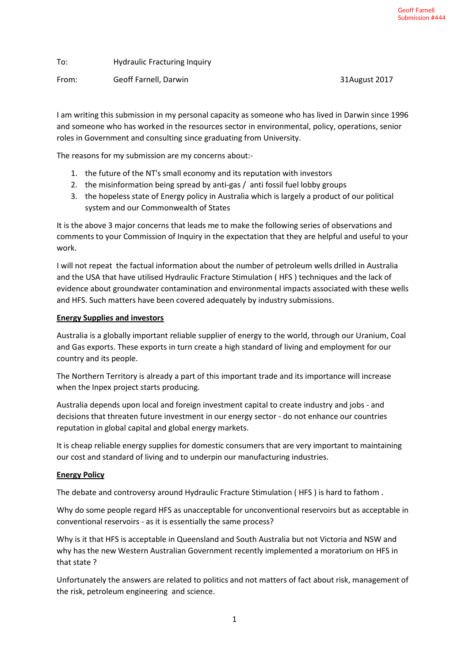To: Hydraulic Fracturing Inquiry

From: Geoff Farnell, Darwin 31August 2017

I am writing this submission in my personal capacity as someone who has lived in Darwin since 1996 and someone who has worked in the resources sector in environmental, policy, operations, senior roles in Government and consulting since graduating from University.

The reasons for my submission are my concerns about:-

- 1. the future of the NT's small economy and its reputation with investors
- 2. the misinformation being spread by anti-gas / anti fossil fuel lobby groups
- 3. the hopeless state of Energy policy in Australia which is largely a product of our political system and our Commonwealth of States

It is the above 3 major concerns that leads me to make the following series of observations and comments to your Commission of Inquiry in the expectation that they are helpful and useful to your work.

I will not repeat the factual information about the number of petroleum wells drilled in Australia and the USA that have utilised Hydraulic Fracture Stimulation ( HFS ) techniques and the lack of evidence about groundwater contamination and environmental impacts associated with these wells and HFS. Such matters have been covered adequately by industry submissions.

## **Energy Supplies and investors**

Australia is a globally important reliable supplier of energy to the world, through our Uranium, Coal and Gas exports. These exports in turn create a high standard of living and employment for our country and its people.

The Northern Territory is already a part of this important trade and its importance will increase when the Inpex project starts producing.

Australia depends upon local and foreign investment capital to create industry and jobs - and decisions that threaten future investment in our energy sector - do not enhance our countries reputation in global capital and global energy markets.

It is cheap reliable energy supplies for domestic consumers that are very important to maintaining our cost and standard of living and to underpin our manufacturing industries.

#### **Energy Policy**

The debate and controversy around Hydraulic Fracture Stimulation ( HFS ) is hard to fathom .

Why do some people regard HFS as unacceptable for unconventional reservoirs but as acceptable in conventional reservoirs - as it is essentially the same process?

Why is it that HFS is acceptable in Queensland and South Australia but not Victoria and NSW and why has the new Western Australian Government recently implemented a moratorium on HFS in that state ?

Unfortunately the answers are related to politics and not matters of fact about risk, management of the risk, petroleum engineering and science.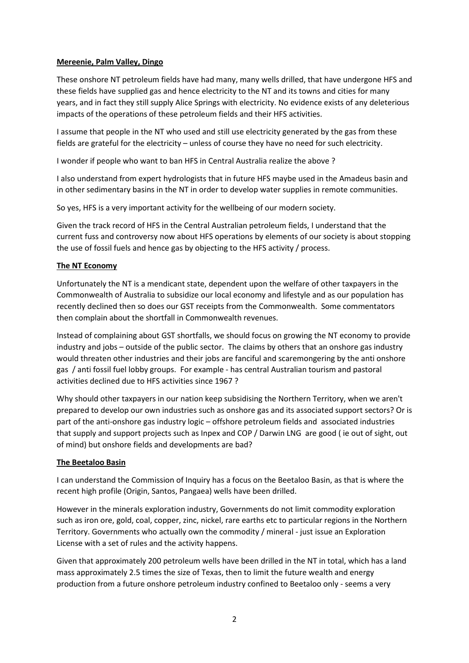## **Mereenie, Palm Valley, Dingo**

These onshore NT petroleum fields have had many, many wells drilled, that have undergone HFS and these fields have supplied gas and hence electricity to the NT and its towns and cities for many years, and in fact they still supply Alice Springs with electricity. No evidence exists of any deleterious impacts of the operations of these petroleum fields and their HFS activities.

I assume that people in the NT who used and still use electricity generated by the gas from these fields are grateful for the electricity – unless of course they have no need for such electricity.

I wonder if people who want to ban HFS in Central Australia realize the above ?

I also understand from expert hydrologists that in future HFS maybe used in the Amadeus basin and in other sedimentary basins in the NT in order to develop water supplies in remote communities.

So yes, HFS is a very important activity for the wellbeing of our modern society.

Given the track record of HFS in the Central Australian petroleum fields, I understand that the current fuss and controversy now about HFS operations by elements of our society is about stopping the use of fossil fuels and hence gas by objecting to the HFS activity / process.

## **The NT Economy**

Unfortunately the NT is a mendicant state, dependent upon the welfare of other taxpayers in the Commonwealth of Australia to subsidize our local economy and lifestyle and as our population has recently declined then so does our GST receipts from the Commonwealth. Some commentators then complain about the shortfall in Commonwealth revenues.

Instead of complaining about GST shortfalls, we should focus on growing the NT economy to provide industry and jobs – outside of the public sector. The claims by others that an onshore gas industry would threaten other industries and their jobs are fanciful and scaremongering by the anti onshore gas / anti fossil fuel lobby groups. For example - has central Australian tourism and pastoral activities declined due to HFS activities since 1967 ?

Why should other taxpayers in our nation keep subsidising the Northern Territory, when we aren't prepared to develop our own industries such as onshore gas and its associated support sectors? Or is part of the anti-onshore gas industry logic – offshore petroleum fields and associated industries that supply and support projects such as Inpex and COP / Darwin LNG are good ( ie out of sight, out of mind) but onshore fields and developments are bad?

#### **The Beetaloo Basin**

I can understand the Commission of Inquiry has a focus on the Beetaloo Basin, as that is where the recent high profile (Origin, Santos, Pangaea) wells have been drilled.

However in the minerals exploration industry, Governments do not limit commodity exploration such as iron ore, gold, coal, copper, zinc, nickel, rare earths etc to particular regions in the Northern Territory. Governments who actually own the commodity / mineral - just issue an Exploration License with a set of rules and the activity happens.

Given that approximately 200 petroleum wells have been drilled in the NT in total, which has a land mass approximately 2.5 times the size of Texas, then to limit the future wealth and energy production from a future onshore petroleum industry confined to Beetaloo only - seems a very